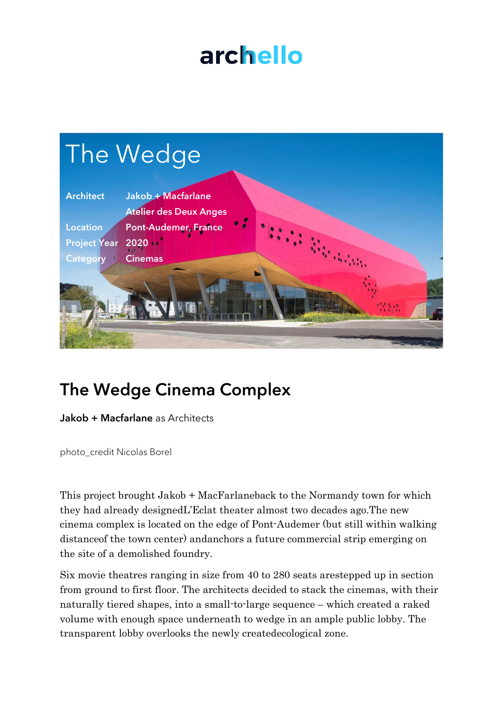## archello



## The Wedge Cinema Complex

Jakob + Macfarlane as Architects

photo\_credit Nicolas Borel

This project brought Jakob + MacFarlaneback to the Normandy town for which they had already designedL'Eclat theater almost two decades ago.The new cinema complex is located on the edge of Pont-Audemer (but still within walking distanceof the town center) andanchors a future commercial strip emerging on the site of a demolished foundry.

Six movie theatres ranging in size from 40 to 280 seats arestepped up in section from ground to first floor. The architects decided to stack the cinemas, with their naturally tiered shapes, into a small-to-large sequence – which created a raked volume with enough space underneath to wedge in an ample public lobby. The transparent lobby overlooks the newly createdecological zone.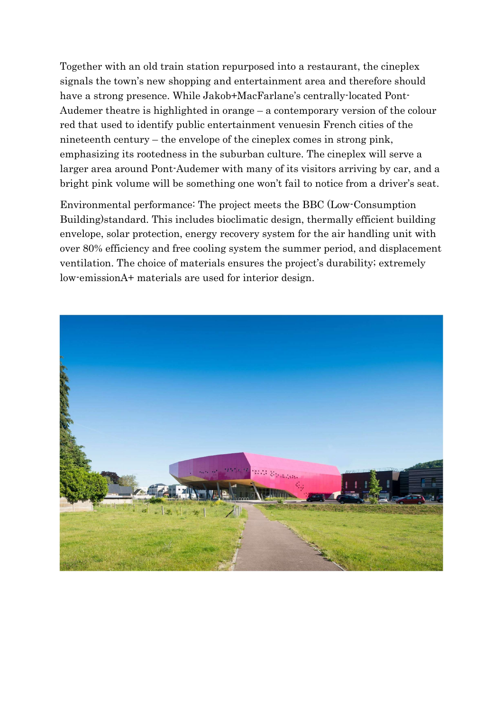Together with an old train station repurposed into a restaurant, the cineplex signals the town's new shopping and entertainment area and therefore should have a strong presence. While Jakob+MacFarlane's centrally-located Pont-Audemer theatre is highlighted in orange – a contemporary version of the colour red that used to identify public entertainment venuesin French cities of the nineteenth century – the envelope of the cineplex comes in strong pink, emphasizing its rootedness in the suburban culture. The cineplex will serve a larger area around Pont-Audemer with many of its visitors arriving by car, and a bright pink volume will be something one won't fail to notice from a driver's seat.

Environmental performance: The project meets the BBC (Low-Consumption Building)standard. This includes bioclimatic design, thermally efficient building envelope, solar protection, energy recovery system for the air handling unit with over 80% efficiency and free cooling system the summer period, and displacement ventilation. The choice of materials ensures the project's durability; extremely low-emissionA+ materials are used for interior design.